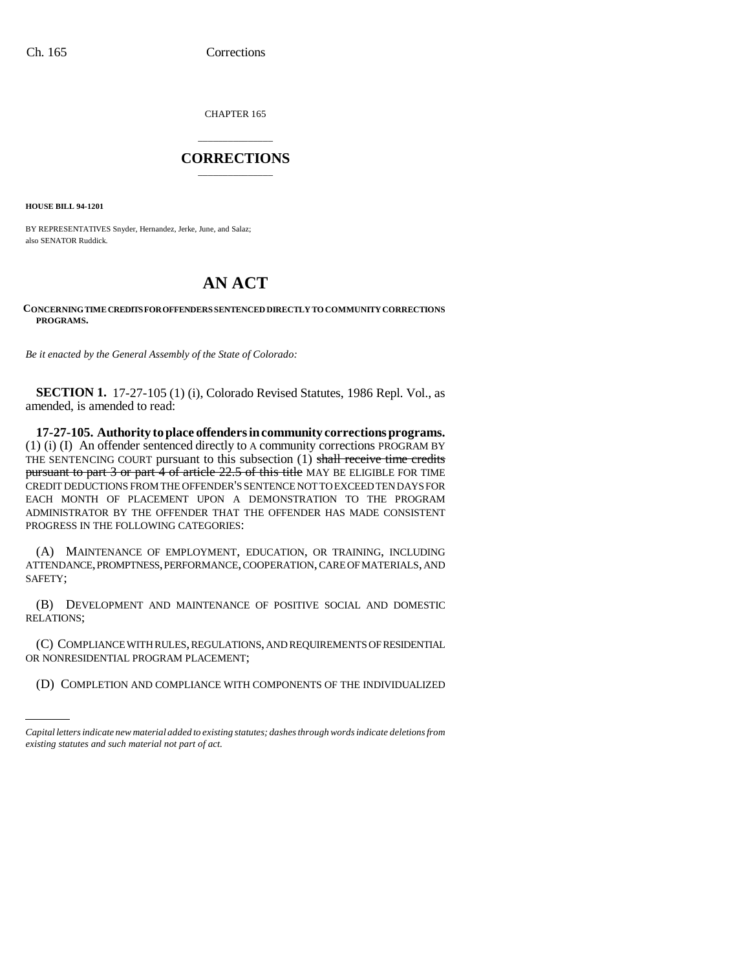CHAPTER 165

## \_\_\_\_\_\_\_\_\_\_\_\_\_\_\_ **CORRECTIONS** \_\_\_\_\_\_\_\_\_\_\_\_\_\_\_

**HOUSE BILL 94-1201**

BY REPRESENTATIVES Snyder, Hernandez, Jerke, June, and Salaz; also SENATOR Ruddick.

## **AN ACT**

## **CONCERNING TIME CREDITS FOR OFFENDERS SENTENCED DIRECTLY TO COMMUNITY CORRECTIONS PROGRAMS.**

*Be it enacted by the General Assembly of the State of Colorado:*

**SECTION 1.** 17-27-105 (1) (i), Colorado Revised Statutes, 1986 Repl. Vol., as amended, is amended to read:

**17-27-105. Authority to place offenders in community corrections programs.** (1) (i) (I) An offender sentenced directly to A community corrections PROGRAM BY THE SENTENCING COURT pursuant to this subsection (1) shall receive time credits pursuant to part 3 or part 4 of article 22.5 of this title MAY BE ELIGIBLE FOR TIME CREDIT DEDUCTIONS FROM THE OFFENDER'S SENTENCE NOT TO EXCEED TEN DAYS FOR EACH MONTH OF PLACEMENT UPON A DEMONSTRATION TO THE PROGRAM ADMINISTRATOR BY THE OFFENDER THAT THE OFFENDER HAS MADE CONSISTENT PROGRESS IN THE FOLLOWING CATEGORIES:

(A) MAINTENANCE OF EMPLOYMENT, EDUCATION, OR TRAINING, INCLUDING ATTENDANCE, PROMPTNESS, PERFORMANCE, COOPERATION, CARE OF MATERIALS, AND SAFETY;

(B) DEVELOPMENT AND MAINTENANCE OF POSITIVE SOCIAL AND DOMESTIC RELATIONS;

(C) COMPLIANCE WITH RULES, REGULATIONS, AND REQUIREMENTS OF RESIDENTIAL OR NONRESIDENTIAL PROGRAM PLACEMENT;

(D) COMPLETION AND COMPLIANCE WITH COMPONENTS OF THE INDIVIDUALIZED

*Capital letters indicate new material added to existing statutes; dashes through words indicate deletions from existing statutes and such material not part of act.*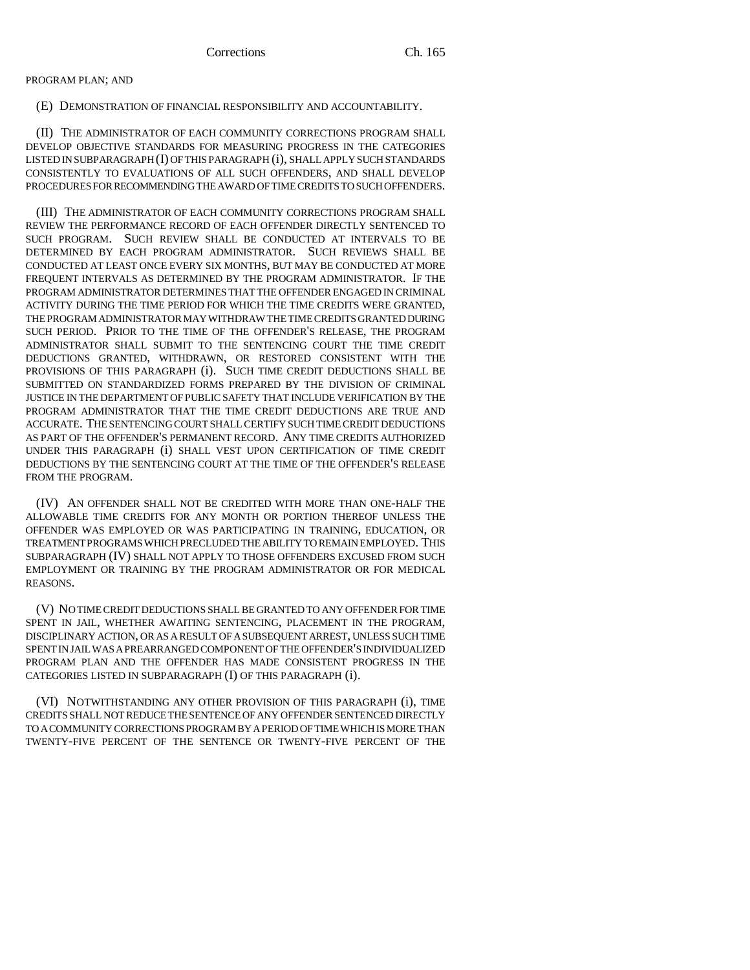PROGRAM PLAN; AND

(E) DEMONSTRATION OF FINANCIAL RESPONSIBILITY AND ACCOUNTABILITY.

(II) THE ADMINISTRATOR OF EACH COMMUNITY CORRECTIONS PROGRAM SHALL DEVELOP OBJECTIVE STANDARDS FOR MEASURING PROGRESS IN THE CATEGORIES LISTED IN SUBPARAGRAPH (I) OF THIS PARAGRAPH (i), SHALL APPLY SUCH STANDARDS CONSISTENTLY TO EVALUATIONS OF ALL SUCH OFFENDERS, AND SHALL DEVELOP PROCEDURES FOR RECOMMENDING THE AWARD OF TIME CREDITS TO SUCH OFFENDERS.

(III) THE ADMINISTRATOR OF EACH COMMUNITY CORRECTIONS PROGRAM SHALL REVIEW THE PERFORMANCE RECORD OF EACH OFFENDER DIRECTLY SENTENCED TO SUCH PROGRAM. SUCH REVIEW SHALL BE CONDUCTED AT INTERVALS TO BE DETERMINED BY EACH PROGRAM ADMINISTRATOR. SUCH REVIEWS SHALL BE CONDUCTED AT LEAST ONCE EVERY SIX MONTHS, BUT MAY BE CONDUCTED AT MORE FREQUENT INTERVALS AS DETERMINED BY THE PROGRAM ADMINISTRATOR. IF THE PROGRAM ADMINISTRATOR DETERMINES THAT THE OFFENDER ENGAGED IN CRIMINAL ACTIVITY DURING THE TIME PERIOD FOR WHICH THE TIME CREDITS WERE GRANTED, THE PROGRAM ADMINISTRATOR MAY WITHDRAW THE TIME CREDITS GRANTED DURING SUCH PERIOD. PRIOR TO THE TIME OF THE OFFENDER'S RELEASE, THE PROGRAM ADMINISTRATOR SHALL SUBMIT TO THE SENTENCING COURT THE TIME CREDIT DEDUCTIONS GRANTED, WITHDRAWN, OR RESTORED CONSISTENT WITH THE PROVISIONS OF THIS PARAGRAPH (i). SUCH TIME CREDIT DEDUCTIONS SHALL BE SUBMITTED ON STANDARDIZED FORMS PREPARED BY THE DIVISION OF CRIMINAL JUSTICE IN THE DEPARTMENT OF PUBLIC SAFETY THAT INCLUDE VERIFICATION BY THE PROGRAM ADMINISTRATOR THAT THE TIME CREDIT DEDUCTIONS ARE TRUE AND ACCURATE. THE SENTENCING COURT SHALL CERTIFY SUCH TIME CREDIT DEDUCTIONS AS PART OF THE OFFENDER'S PERMANENT RECORD. ANY TIME CREDITS AUTHORIZED UNDER THIS PARAGRAPH (i) SHALL VEST UPON CERTIFICATION OF TIME CREDIT DEDUCTIONS BY THE SENTENCING COURT AT THE TIME OF THE OFFENDER'S RELEASE FROM THE PROGRAM.

(IV) AN OFFENDER SHALL NOT BE CREDITED WITH MORE THAN ONE-HALF THE ALLOWABLE TIME CREDITS FOR ANY MONTH OR PORTION THEREOF UNLESS THE OFFENDER WAS EMPLOYED OR WAS PARTICIPATING IN TRAINING, EDUCATION, OR TREATMENT PROGRAMS WHICH PRECLUDED THE ABILITY TO REMAIN EMPLOYED. THIS SUBPARAGRAPH (IV) SHALL NOT APPLY TO THOSE OFFENDERS EXCUSED FROM SUCH EMPLOYMENT OR TRAINING BY THE PROGRAM ADMINISTRATOR OR FOR MEDICAL REASONS.

(V) NO TIME CREDIT DEDUCTIONS SHALL BE GRANTED TO ANY OFFENDER FOR TIME SPENT IN JAIL, WHETHER AWAITING SENTENCING, PLACEMENT IN THE PROGRAM, DISCIPLINARY ACTION, OR AS A RESULT OF A SUBSEQUENT ARREST, UNLESS SUCH TIME SPENT IN JAIL WAS A PREARRANGED COMPONENT OF THE OFFENDER'S INDIVIDUALIZED PROGRAM PLAN AND THE OFFENDER HAS MADE CONSISTENT PROGRESS IN THE CATEGORIES LISTED IN SUBPARAGRAPH (I) OF THIS PARAGRAPH (i).

(VI) NOTWITHSTANDING ANY OTHER PROVISION OF THIS PARAGRAPH (i), TIME CREDITS SHALL NOT REDUCE THE SENTENCE OF ANY OFFENDER SENTENCED DIRECTLY TO A COMMUNITY CORRECTIONS PROGRAM BY A PERIOD OF TIME WHICH IS MORE THAN TWENTY-FIVE PERCENT OF THE SENTENCE OR TWENTY-FIVE PERCENT OF THE